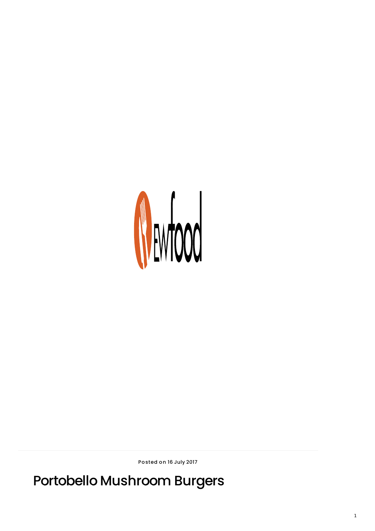## Portobello Mushroom Burgers

Posted on 16 July 2017

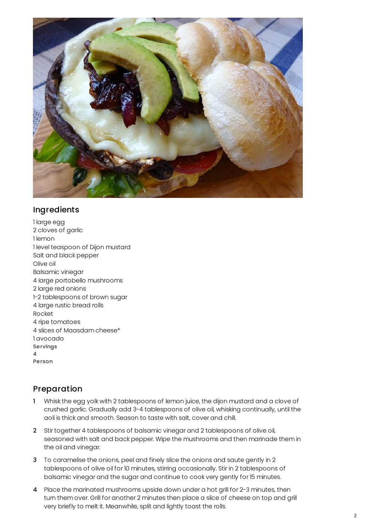

## Ingredients

1 large egg 2 cloves of garlic 1 lemon 1 level teaspoon of Dijon mustard Salt and black pepper Olive oil Balsamic vinegar 4 large portobello mushrooms 2 large red onions 1-2 tablespoons of brown sugar 4 large rustic bread rolls Rocket 4 ripe tomatoes 4 slices of Maasdam cheese\* 1 avocado Servings 4 Person

## Preparation

- 1 Whisk the egg yolk with 2 tablespoons of lemon juice, the dijon mustard and a clove of crushed garlic. Gradually add 3-4 tablespoons of olive oil, whisking continually, until the aoli is thick and smooth. Season to taste with salt, cover and chill.
- 2 Stir together 4 tablespoons of balsamic vinegar and 2 tablespoons of olive oil, seasoned with salt and back pepper. Wipe the mushrooms and then marinade them in the oil and vinegar.
- 3 To caramelise the onions, peel and finely slice the onions and saute gently in 2 tablespoons of olive oil for 10 minutes, stirring occasionally. Stir in 2 tablespoons of balsamic vinegar and the sugar and continue to cook very gently for 15 minutes.
- 4 Place the marinated mushrooms upside down under a hot grill for 2-3 minutes, then turn them over. Grill for another 2 minutes then place a slice of cheese on top and grill very briefly to melt it. Meanwhile, split and lightly toast the rolls.